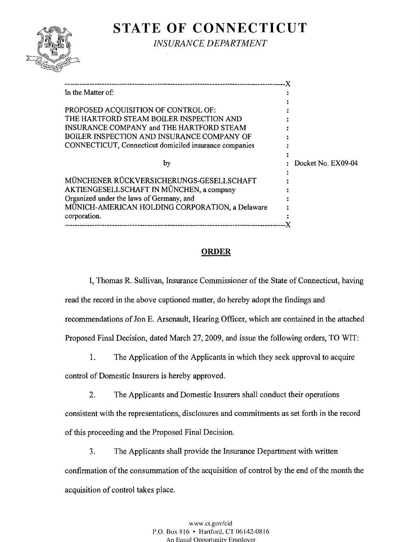

# **STATE OF CONNECTICUT**

*INSURANCE DEPARTMENT* 

| In the Matter of:                                      |                      |
|--------------------------------------------------------|----------------------|
|                                                        |                      |
| PROPOSED ACQUISITION OF CONTROL OF:                    |                      |
| THE HARTFORD STEAM BOILER INSPECTION AND               |                      |
| INSURANCE COMPANY and THE HARTFORD STEAM               |                      |
| BOILER INSPECTION AND INSURANCE COMPANY OF             |                      |
| CONNECTICUT, Connecticut domiciled insurance companies |                      |
|                                                        |                      |
| by                                                     | : Docket No. EX09-04 |
|                                                        |                      |
| MÜNCHENER RÜCKVERSICHERUNGS-GESELLSCHAFT               |                      |
| AKTIENGESELLSCHAFT IN MÜNCHEN, a company               |                      |
| Organized under the laws of Germany, and               |                      |
| MÜNICH-AMERICAN HOLDING CORPORATION, a Delaware        |                      |
| corporation.                                           |                      |
|                                                        |                      |

# **ORDER**

I, Thomas R. Sullivan, Insurance Commissioner of the State of Connecticut, having read the record in the above captioned matter, do hereby adopt the findings and recommendations of Jon E. Arsenault, Hearing Officer, which are contained in the attached Proposed Final Decision, dated March 27, 2009, and issue the following orders, TO WIT:

1. The Application of the Applicants in which they seek approval to acquire

control of Domestic Insurers is hereby approved.

2. The Applicants and Domestic Insurers shall conduct their operations

consistent with the representations, disclosures and commitments as set forth in the record of this proceeding and the Proposed Final Decision.

3. The Applicants shall provide the Insurance Department with written confirmation of the consummation of the acquisition of control by the end of the month the acquisition of control takes place.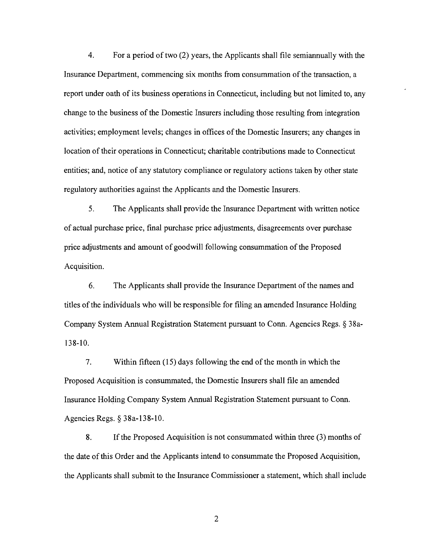4. For a period of two (2) years, the Applicants shall file semiannually with the Insurance Department, commencing six months from consummation of the transaction, a report under oath of its business operations in Connecticut, including but not limited to, any change to the business of the Domestic Insurers including those resulting from integration activities; employment levels; changes in offices of the Domestic Insurers; any changes in location of their operations in Connecticut; charitable contributions made to Connecticut entities; and, notice of any statutory compliance or regulatory actions taken by other state regulatory authorities against the Applicants and the Domestic Insurers.

5. The Applicants shall provide the Insurance Department with written notice of actual purchase price, final purchase price adjustments, disagreements over purchase price adjustments and amount of goodwill following consummation of the Proposed Acquisition.

6. The Applicants shall provide the Insurance Department of the names and titles of the individuals who will be responsible for filing an amended Insurance Holding Company System Annual Registration Statement pursuant to Conn. Agencies Regs. § 38a-138-10.

7. Within fifteen (15) days following the end of the month in which the Proposed Acquisition is consummated, the Domestic Insurers shall file an amended Insurance Holding Company System Annual Registration Statement pursuant to Conn. Agencies Regs. § 38a-138-10.

8. If the Proposed Acquisition is not consummated within three (3) months of the date of this Order and the Applicants intend to consummate the Proposed Acquisition, the Applicants shall submit to the Insurance Commissioner a statement, which shall include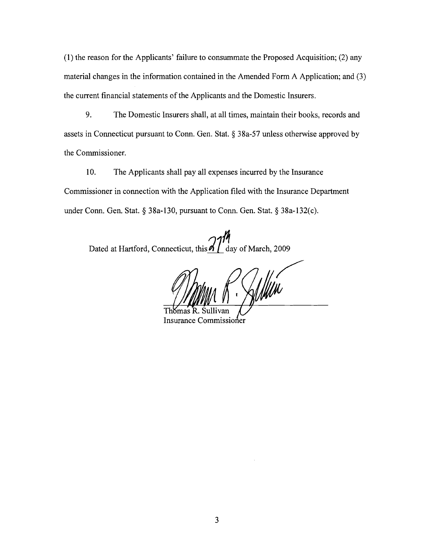(1) the reason for the Applicants' failure to consummate the Proposed Acquisition; (2) any material changes in the information contained in the Amended Form A Application; and (3) the current financial statements of the Applicants and the Domestic Insurers.

9. The Domestic Insurers shall, at all times, maintain their books, records and assets in Connecticut pursuant to Conn. Gen. Stat. § 38a-57 unless otherwise approved by the Commissioner.

10. The Applicants shall pay all expenses incurred by the Insurance Commissioner in connection with the Application filed with the Insurance Department under Conn. Gen. Stat. § 38a-130, pursuant to Conn. Gen. Stat. § 38a-132(c).

Dated at Hartford, Connecticut, this<sup>211</sup> day of March, 2009

Thomas Insurance Commissioner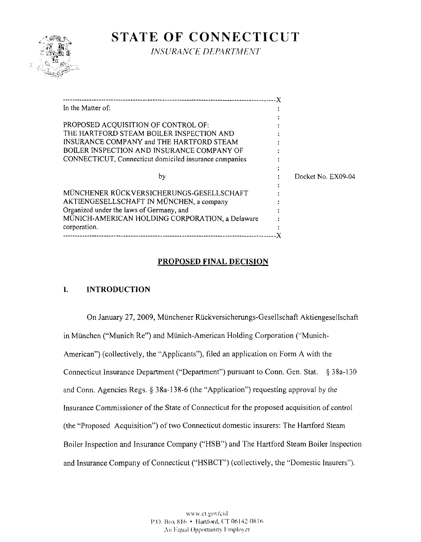

# **STATE OF CONNECTICUT**

 $INSURANCE DEPARTIMENT$ 

| In the Matter of:                                      |                    |
|--------------------------------------------------------|--------------------|
|                                                        |                    |
| PROPOSED ACQUISITION OF CONTROL OF:                    |                    |
| THE HARTFORD STEAM BOILER INSPECTION AND               |                    |
| INSURANCE COMPANY and THE HARTFORD STEAM               |                    |
| BOILER INSPECTION AND INSURANCE COMPANY OF             |                    |
| CONNECTICUT, Connecticut domiciled insurance companies |                    |
|                                                        |                    |
| by                                                     | Docket No. EX09-04 |
|                                                        |                    |
| MÜNCHENER RÜCKVERSICHERUNGS-GESELLSCHAFT               |                    |
| AKTIENGESELLSCHAFT IN MÜNCHEN, a company               |                    |
| Organized under the laws of Germany, and               |                    |
| MÜNICH-AMERICAN HOLDING CORPORATION, a Delaware        |                    |
| corporation.                                           |                    |
| -------------------------                              |                    |

# **PROPOSED FINAL DECISION**

# **I. INTRODUCTION**

On January 27, 2009, Münchener Rückversicherungs-Gesellschaft Aktiengesellschaft in München ("Munich Re") and Münich-American Holding Corporation ("Munich-American") (collectively, the "Applicants"), filed an application on Form A with the Connecticut Insurance Department ("Department") pursuant to Conn, Gen. Stat. § 38a-130 and Conn. Agencies Regs. § 38a-138-6 (the "Application") requesting approval by the Insurance Commissioner of the State of Connecticut for the proposed acquisition of control (the "Proposed Acquisition") of two Connecticut domestic insurers: The Hartford Steam Boiler Inspection and Insurance Company ("HSB") and The Hartford Steam Boiler Inspection and Insurance Company of Connecticut ("HSBCT") (collectively, the "Domestic Insurers"),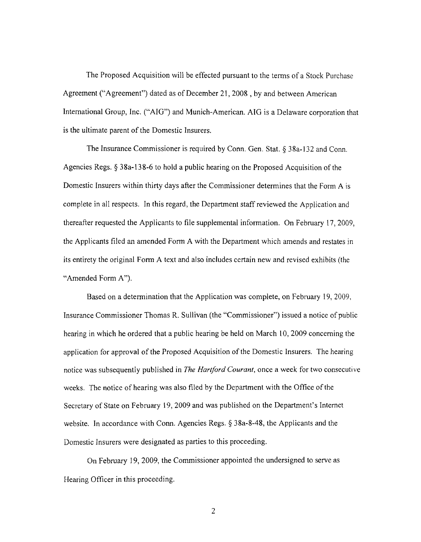The Proposed Acquisition will be effected pursuant to the terms of a Stock Purchase Agreement ("Agreement") dated as of December 21, 2008 , by and between American International Group, Inc. ("AIG") and Munich-American. AIG is a Delaware corporation that is the ultimate parent of the Domestic Insurers.

The Insurance Commissioner is required by Conn. Gen. Stat. § 38a-132 and Conn. Agencies Regs. § 38a-138-6 to hold a public hearing on the Proposed Acquisition of the Domestic Insurers within thirty days after the Commissioner determines that the Form A is complete in all respects. **In** this regard, the Department staff reviewed the Application and thereafter requested the Applicants to file supplemental information. On February 17,2009, the Applicants filed an amended Fonn A with the Department which amends and restates in its entirety the original Fonn A text and also includes certain new and revised exhibits (the "Amended Form A").

Based on a determination that the Application was complete, on February 19, 2009, Insurance Commissioner Thomas R. Sullivan (the "Commissioner") issued a notice of public hearing in which he ordered that a public hearing be held on March 10,2009 concerning the application for approval of the Proposed Acquisition of the Domestic Insurers. The hearing notice was subsequently published in *The Hartford Courant,* once a week for two consecutive weeks. The notice of hearing was also filed by the Department with the Office of the Secretary of State on February 19,2009 and was published on the Department's Internet website. **In** accordance with Conn. Agencies Regs. § 38a-8-48, the Applicants and the Domestic Insurers were designated as parties to this proceeding.

On February 19, 2009, the Commissioner appointed the undersigned to serve as Hearing Officer in this proceeding.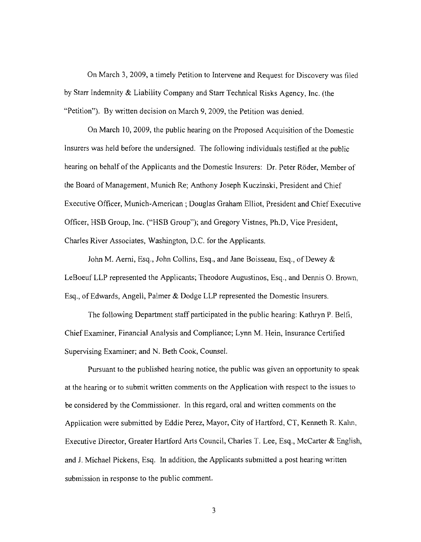On March 3, 2009, a timely Petition to Intervene and Request for Discovery was filed by Starr Indemnity & Liability Company and Starr Technical Risks Agency, Inc. (the "Petition"). By written decision on March 9, 2009, the Petition was denied.

On March 10, 2009, the public hearing on the Proposed Acquisition of the Domestic Insurers was held before the undersigned. The following individuals testified at the public hearing on behalf of the Applicants and the Domestic Insurers: Dr. Peter Röder, Member of the Board of Management, Munich Re; Anthony Joseph Kuczinski, President and Chief Executive Officer, Munich-American; Douglas Graham Elliot, President and Chief Executive Officer, HSB Group, Inc. ("HSB Group"); and Gregory Vistnes, Ph.D, Vice President, Charles River Associates, Washington, D.C. for the Applicants.

John M. Aemi, Esq., John Collins, Esq., and Jane Boisseau, Esq., of Dewey & LeBoeuf LLP represented the Applicants; Theodore Augustinos, Esq., and Dennis O. Brown, Esq., of Edwards, Angell, Palmer & Dodge LLP represented the Domestic Insurers.

The following Department staff participated in the public hearing: Kathryn P. Belfi, Chief Examiner, Financial Analysis and Compliance; Lynn M. Hein, Insurance Certified Supervising Examiner; and N. Beth Cook, Counsel.

Pursuant to the published hearing notice, the public was given an opportunity to speak at the hearing or to submit written comments on the Application with respect to the issues to be considered by the Commissioner. In this regard, oral and written comments on the Application were submitted by Eddie Perez, Mayor, City of Hartford, CT, Kenneth R. Kalm, Executive Director, Greater Hartford Arts Council, Charles T. Lee, Esq., McCarter & English, and J. Michael Pickens, Esq. In addition, the Applicants submitted a post hearing written submission in response to the public comment.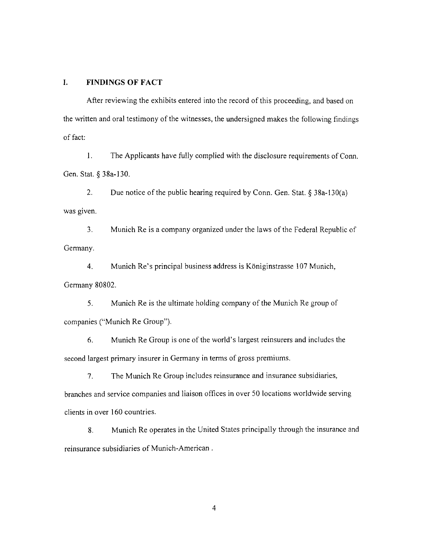#### **I. FINDINGS OF FACT**

After reviewing the exhibits entered into the record of this proceeding, and based on the written and oral testimony of the witnesses, the undersigned makes the following findings of fact:

1. The Applicants have fully complied with the disclosure requirements of Conn. Gen. Stat. § 38a-130.

2. Due notice of the public hearing required by Conn. Gen. Stat.  $\S 38a-130(a)$ was given.

3. Munich Re is a company organized under the laws of the Federal Republic of Germany.

4. Munich Re's principal business address is Koniginstrasse 107 Munich, Germany 80802.

5. Munich Re is the ultimate holding company of the Munich Re group of companies ("Munich Re Group").

6. Munich Re Group is one of the world's largest reinsurers and includes the second largest primary insurer in Germany in terms of gross premiums.

7. The Munich Re Group includes reinsurance and insurance subsidiaries, branches and service companies and liaison offices in over SO locations worldwide serving clients in over 160 countries.

8. Munich Re operates in the United States principally through the insurance and reinsurance subsidiaries of Munich-American.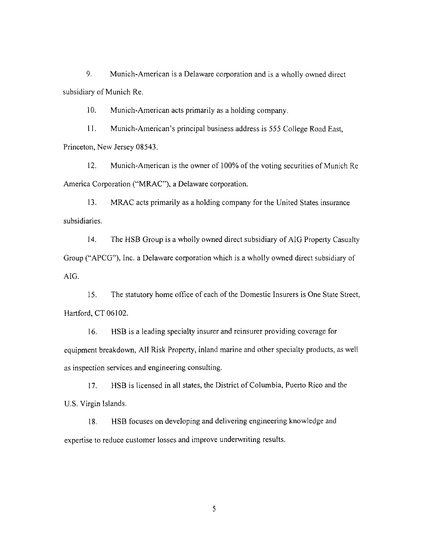9. Munich-American is a Delaware corporation and is a wholly owned direct subsidiary of Munich Re.

10. Munich-American acts primarily as a holding company.

II. Munich-American's principal business address is 555 College Road East, Princeton, New Jersey 08543.

12. Munich-American is the owner of 100% of the voting securities of Munich Re America Corporation ("MRAC"), a Delaware corporation.

13. MRAC acts primarily as a holding company for the United States insurance subsidiaries.

14. The HSB Group is a wholly owned direct subsidiary of AIG Property Casualty Group ("APCG"), Inc. a Delaware corporation which is a wholly owned direct subsidiary of AIG.

15. The statutory home office of each of the Domestic Insurers is One State Street, Hartford, CT 06102.

16. HSB is a leading specialty insurer and reinsurer providing coverage for equipment breakdown, All Risk Property, inland marine and other specialty products, as well as inspection services and engineering consulting.

17. HSB is licensed in all states, the District of Columbia, Puerto Rico and the U.S. Virgin Islands.

18. HSB focuses on developing and delivering engineering knowledge and expertise to reduce customer losses and improve underwriting results.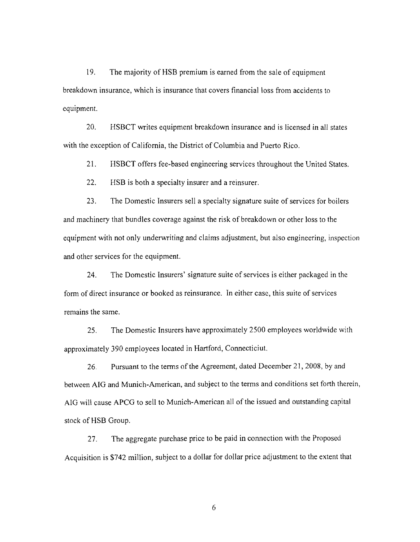19. The majority of HSB premium is earned from the sale of equipment breakdown insurance, which is insurance that covers financial loss from accidents to equipment.

20. HSBCT writes equipment breakdown insurance and is licensed in all states with the exception of California, the District of Columbia and Puerto Rico.

21. HSBCT offers fee-based engineering services throughout the United States.

22. HSB is both a specialty insurer and a reinsurer.

23. The Domestic Insurers sell a specialty signature suite of services for boilers and machinery that bundles coverage against the risk of breakdown or other loss to the equipment with not only underwriting and claims adjustment, but also engineering, inspection and other services for the equipment.

24. The Domestic Insurers' signature suite of services is either packaged in the form of direct insurance or booked as reinsurance. In either case, this suite of services remains the same.

25. The Domestic Insurers have approximately 2500 employees worldwide with approximately 390 employees located in Hartford, Connecticiut.

26. Pursuant to the terms of the Agreement, dated December 21, 2008, by and between AIG and Munich-American, and subject to the terms and conditions set forth therein, AIG will cause APCG to sell to Munich-American all of the issued and outstanding capital stock of HSB Group.

27. The aggregate purchase price to be paid in connection with the Proposed Acquisition is \$742 million, subject to a dollar for dollar price adjustment to the extent that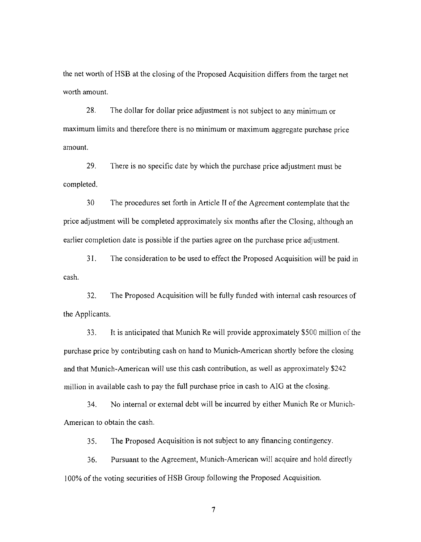the net worth of HSB at the closing of the Proposed Acquisition differs from the target net worth amount.

28. The dollar for dollar price adjustment is not subject to any minimwn or maximum limits and therefore there is no minimum or maximum aggregate purchase price amount.

29. There is no specific date by which the purchase price adjustment must be completed.

30 The procedures set forth in Article II of the Agreement contemplate that the price adjustment will be completed approximately six months after the Closing, although an earlier completion date is possible if the parties agree on the purchase price adjustment.

31. The consideration to be used to effect the Proposed Acquisition will be paid in cash.

32. The Proposed Acquisition will be fully funded with internal cash resources of the Applicants.

33. It is anticipated that Munich Re will provide approximately \$500 million of the purchase price by contributing cash on hand to Munich-American shortly before the closing and that Munich-American will use this cash contribution, as well as approximately \$242 million in available cash to pay the full purchase price in cash to AIG at the closing.

34. No internal or external debt will be incurred by either Munich Re or Munich-American to obtain the cash.

35. The Proposed Acquisition is not subject to any financing contingency.

36. Pursuant to the Agreement, Munich-American will acquire and hold directly 100% of the voting securities of HSB Group following the Proposed Acquisition.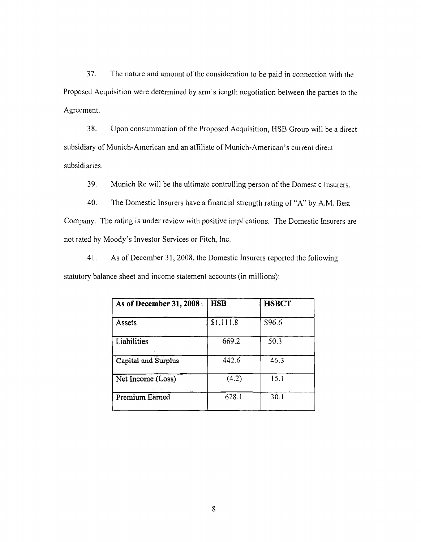37. The nature and amount of the consideration to be paid in connection with the Proposed Acquisition were determined by arm's length negotiation between the parties to the Agreement.

38. Upon consummation of the Proposed Acquisition, HSB Group will be a direct subsidiary of Munich-American and an affiliate of Munich-American' s current direct subsidiaries.

39. Munich Re will be the ultimate controlling person of the Domestic Insurers.

40. The Domestic Insurers have a financial strength rating of "A" by A.M. Best Company. The rating is under review with positive implications. The Domestic Insurers are not rated by Moody's Investor Services or Fitch, Inc.

41. As of December 31, 2008, the Domestic Insurers reported the following statutory balance sheet and income statement accounts (in millions):

| As of December 31, 2008<br>$\gamma_{\rm{eff}}$ . | HSB       | <b>HSBCT</b> |
|--------------------------------------------------|-----------|--------------|
| Assets                                           | \$1,111.8 | \$96.6       |
| Liabilities                                      | 669.2     | 50.3         |
| Capital and Surplus                              | 442.6     | 46.3         |
| Net Income (Loss)                                | (4.2)     | 15.1         |
| Premium Earned                                   | 628.1     | 30.1         |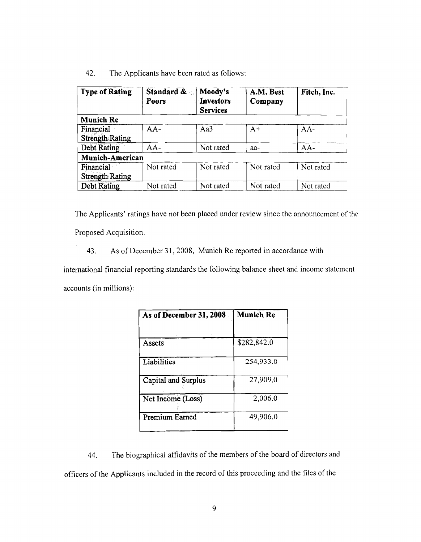42. The Applicants have been rated as follows:

| <b>Type of Rating</b>               | Standard &<br>Poors | Moody's<br><b>Investors</b><br><b>Services</b> | A.M. Best<br>Company | Fitch, Inc. |
|-------------------------------------|---------------------|------------------------------------------------|----------------------|-------------|
| <b>Munich Re</b>                    |                     |                                                |                      |             |
| Financial<br><b>Strength Rating</b> | AA-                 | Aa3                                            | $A+$                 | $AA-$       |
| <b>Debt Rating</b>                  | $AA-$               | Not rated                                      | aa-                  | $AA-$       |
| <b>Munich-American</b>              |                     |                                                |                      |             |
| Financial<br>Strength Rating        | Not rated           | Not rated                                      | Not rated            | Not rated   |
| <b>Debt Rating</b>                  | Not rated           | Not rated                                      | Not rated            | Not rated   |

The Applicants' ratings have not been placed under review since the announcement of the Proposed Acquisition.

43. As of December 31,2008, Munich Re reported in accordance with

international financial reporting standards the following balance sheet and income statement accounts (in millions):

| As of December 31, 2008 | <b>Munich Re</b> |
|-------------------------|------------------|
|                         |                  |
| Assets                  | \$282,842.0      |
| Liabilities             | 254,933.0        |
| Capital and Surplus     | 27,909.0         |
| Net Income (Loss)       | 2,006.0          |
| Premium Earned          | 49,906.0         |

44. The biographical affidavits of the members of the board of directors and officers of the Applicants included in the record of this proceeding and the files of the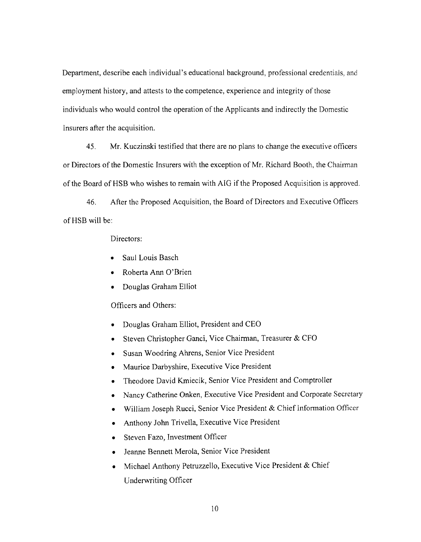Department, describe each individual's educational background, professional credentials, and employment history, and attests to the competence, experience and integrity of those individuals who would control the operation of the Applicants and indirectly the Domestic Insurers after the acquisition.

45. Mr. Kuczinski testified that there are no plans to change the executive officers or Directors of the Domestic Insurers with the exception of Mr. Richard Booth, the Chairman of the Board of HSB who wishes to remain with AIG if the Proposed Acquisition is approved.

46. After the Proposed Acquisition, the Board of Directors and Executive Officers ofHSB will be:

Directors:

- Saul Louis Basch
- Roberta Ann O'Brien
- Douglas Graham Elliot

## Officers and Others:

- Douglas Graham Elliot, President and CEO
- Steven Christopher Ganci, Vice Chairman, Treasurer & CFO
- Susan Woodring Ahrens, Senior Vice President
- Maurice Darbyshire, Executive Vice President
- Theodore David Kmiecik, Senior Vice President and Comptroller
- Nancy Catherine Onken, Executive Vice President and Corporate Secretary
- • William Joseph Rucci, Senior Vice President & Chief Information Officer
- Anthony John Trivella, Executive Vice President
- Steven Fazo, Investment Officer
- • Jeanne Bennett Merola, Senior Vice President
- Michael Anthony Petruzzello, Executive Vice President & Chief Underwriting Officer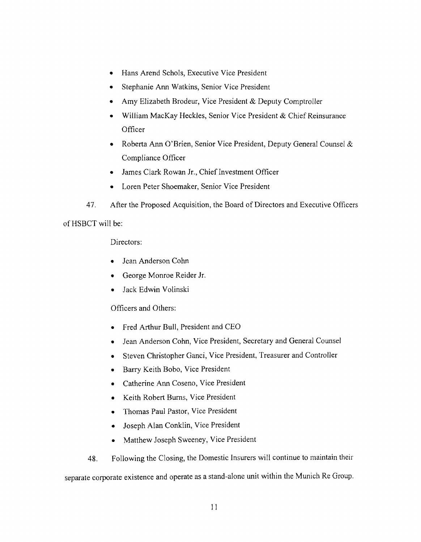- • Hans Arend Schols, Executive Vice President
- Stephanie Ann Watkins, Senior Vice President
- Amy Elizabeth Brodeur, Vice President & Deputy Comptroller
- William MacKay Heckles, Senior Vice President & Chief Reinsurance **Officer**
- Roberta Ann O'Brien, Senior Vice President, Deputy General Counsel & Compliance Officer
- • James Clark Rowan Jr., Chief Investment Officer
- • Loren Peter Shoemaker, Senior Vice President
- 47. After the Proposed Acquisition, the Board of Directors and Executive Officers

ofHSBCT will be:

Directors:

- • Jean Anderson Cohn
- • George Monroe Reider Jr.
- Jack Edwin Volinski

#### Officers and Others:

- • Fred Arthur Bull, President and CEO
- Jean Anderson Cohn, Vice President, Secretary and General Counsel
- Steven Christopher Ganci, Vice President, Treasurer and Controller
- • Barry Keith Bobo, Vice President
- • Catherine Ann Coseno, Vice President
- • Keith Robert Burns, Vice President
- • Thomas Paul Pastor, Vice President
- Joseph Alan Conklin, Vice President
- Matthew Joseph Sweeney, Vice President
- 48. Following the Closing, the Domestic Insurers will continue to maintain their

separate corporate existence and operate as a stand-alone unit within the Munich Re Group.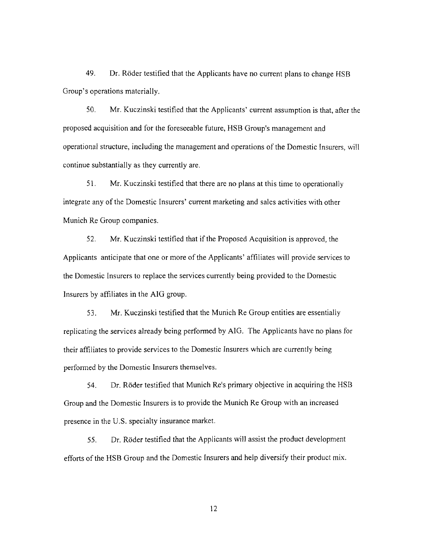49. Dr. Roder testified that the Applicants have no current plans to change HSB Group's operations materially.

50. Mr. Kuczinski testified that the Applicants' current assumption is that, after the proposed acquisition and for the foreseeable future, HSB Group's management and operational structure, including the management and operations of the Domestic Insurers, will continue substantially as they currently are.

51. Mr. Kuczinski testified that there are no plans at this time to operationally integrate any of the Domestic Insurers' current marketing and sales activities with other Munich Re Group companies.

52. Mr. Kuczinski testified that if the Proposed Acquisition is approved, the Applicants anticipate that one or more of the Applicants' affiliates will provide services to the Domestic Insurers to replace the services currently being provided to the Domestic Insurers by affiliates in the AIG group.

53. Mr. Kuczinski testified that the Munich Re Group entities are essentially replicating the services already being perfonned by AIG. The Applicants have no plans for their affiliates to provide services to the Domestic Insurers which are currently being perfonned by the Domestic Insurers themselves.

54. Dr. Roder testified that Munich Re's primary objective in acquiring the HSB Group and the Domestic Insurers is to provide the Munich Re Group with an increased presence in the U.S. specialty insurance market.

55. Dr. Roder testified that the Applicants will assist the product development efforts of the HSB Group and the Domestic Insurers and help diversify their product mix.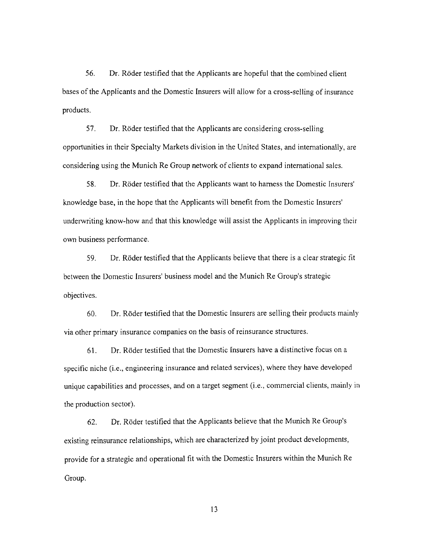56. Dr. Roder testified that the Applicants are hopeful that the combined client bases ofthe Applicants and the Domestic Insurers will allow for a cross-selling of insurance products.

57. Dr. Roder testified that the Applicants are considering cross-selling opportunities in their Specialty Markets division in the United States, and internationally, are considering using the Munich Re Group network of clients to expand international sales.

58. Dr. Roder testified that the Applicants want to harness the Domestic Insurers' knowledge base, in the hope that the Applicants will benefit from the Domestic Insurers' underwriting know-how and that this knowledge will assist the Applicants in improving their own business performance.

59. Dr. Roder testified that the Applicants believe that there is a clear strategic fit between the Domestic Insurers' business model and the Munich Re Group's strategic objectives.

60. Dr. Roder testified that the Domestic Insurers are selling their products mainly via other primary insurance companies on the basis of reinsurance structures.

61. Dr. Roder testified that the Domestic Insurers have a distinctive focus on a specific niche (i.e., engineering insurance and related services), where they have developed unique capabilities and processes, and on a target segment (i.e., commercial clients, mainly in the production sector).

62. Dr. Roder testified that the Applicants believe that the Munich Re Group's existing reinsurance relationships, which are characterized by joint product developments, provide for a strategic and operational fit with the Domestic Insurers within the Munich Re Group.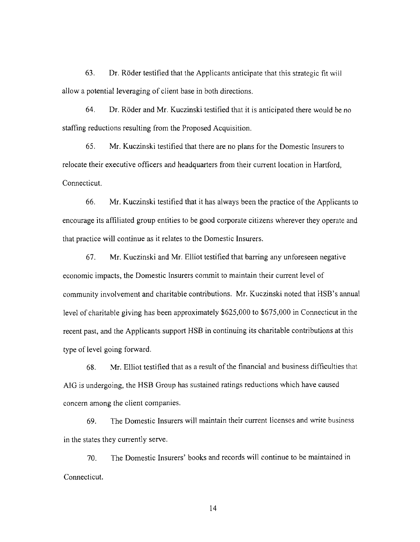63. Dr. Roder testified that the Applicants anticipate that this strategic fit will allow a potential leveraging of client base in both directions.

64. Dr. Roder and Mr. Kuczinski testified that it is anticipated there would be no staffing reductions resulting from the Proposed Acquisition.

65. Mr. Kuczinski testified that there are no plans for the Domestic Insurers to relocate their executive officers and headquarters from their current location in Hartford, Connecticut.

66. Mr. Kuczinski testified that it has always been the practice of the Applicants to encourage its affiliated group entities to be good corporate citizens wherever they operate and that practice will continue as it relates to the Domestic Insurers.

67. Mr. Kuczinski and Mr. Elliot testified that barring any unforeseen negative economic impacts, the Domestic Insurers commit to maintain their current level of community involvement and charitable contributions. Mr. Kuczinski noted that HSB's annual level of charitable giving has been approximately \$625,000 to \$675,000 in Connecticut in the recent past, and the Applicants support HSB in continuing its charitable contributions at this type of level going forward.

68. Mr. Elliot testified that as a result of the financial and business difficulties that AIG is undergoing, the HSB Group has sustained ratings reductions which have caused concern among the client companies.

69. The Domestic Insurers will maintain their current licenses and write business in the states they currently serve.

70. The Domestic Insurers' books and records will continue to be maintained in Connecticut.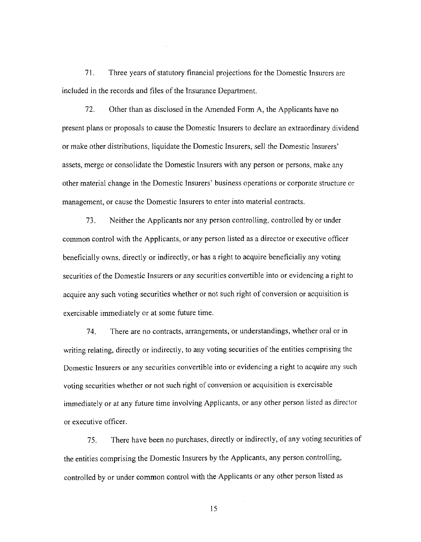71. Three years of statutory financial projections for the Domestic Insurers arc included in the records and files of the Insurance Department.

72. Other than as disclosed in the Amended Fonn A, the Applicants have no present plans or proposals to cause the Domestic Insurers to declare an extraordinary dividend or make other distributions, liquidate the Domestic Insurers, sell the Domestic Insurers' assets, merge or consolidate the Domestic Insurers with any person or persons, make any other material change in the Domestic Insurers' business operations or corporate structure or management, or cause the Domestic Insurers to enter into material contracts.

73. Neither the Applicants nor any person controlling, controlled by or under common control with the Applicants, or any person listed as a director or executive officer beneficially owns, directly or indirectly, or has a right to acquire beneficially any voting securities of the Domestic Insurers or any securities convertible into or evidencing a right to acquire any such voting securities whether or not such right of conversion or acquisition is exercisable immediately or at some future time.

74. There are no contracts, arrangements, or understandings, whether oral or in writing relating, directly or indirectly, to any voting securities of the entities comprising the Domestic Insurers or any securities convertible into or evidencing a right to acquire any such voting securities whether or not such right of conversion or acquisition is exercisable immediately or at any future time involving Applicants, or any other person listed as director or executive officer.

75. There have been no purchases, directly or indirectly, of any voting securities of the entities comprising the Domestic Insurers by the Applicants, any person controlling, controlled by or under common control with the Applicants or any other person listed as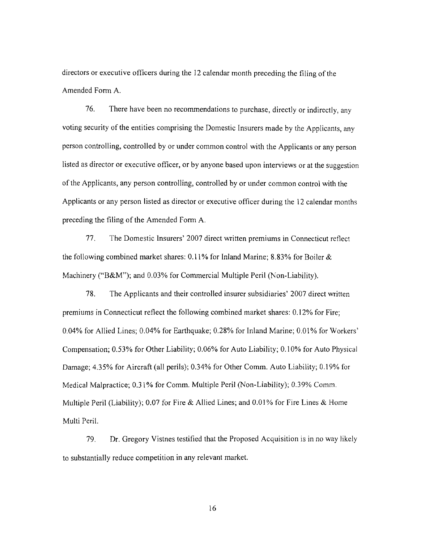directors or executive officers during the 12 calendar month preceding the filing of the Amended Form A.

76. There have been no recommendations to purchase, directly or indirectly, any voting security of the entities comprising the Domestic Insurers made by the Applicants, any person controlling, controlled by or under common control with the Applicants or any person listed as director or executive officer, or by anyone based upon interviews or at the suggestion of the Applicants, any person controlling, controlled by or under common control with the Applicants or any person listed as director or executive officer during the 12 calendar months preceding the filing of the Amended Form A.

77. The Domestic Insurers' 2007 direct written premiums in Connecticut reflect the following combined market shares: 0.11% for Inland Marine; 8.83% for Boiler  $\&$ Machinery ("B&M"); and 0.03% for Commercial Multiple Peril (Non-Liability).

78. The Applicants and their controlled insurer subsidiaries' 2007 direct written premiums in Connecticut reflect the following combined market shares: O. 12% for Fire; 0.04% for Allied Lines; 0.04% for Earthquake; 0.28% for Inland Marine; 0.01 % for Workers' Compensation; 0.53% for Other Liability; 0.06% for Auto Liability; 0.10% for Auto Physical Damage; 4.35% for Aircraft (all perils); 0.34% for Other Comm. Auto Liability; 0.19% for Medical Malpractice; 0.31% for Comm. Multiple Peril (Non-Liability); 0.39% Comm. Multiple Peril (Liability); 0.07 for Fire & Allied Lines; and 0.01% for Fire Lines & Home Multi Peril.

79. Dr. Gregory Vistnes testified that the Proposed Acquisition is in no way likely to substantially reduce competition in any relevant market.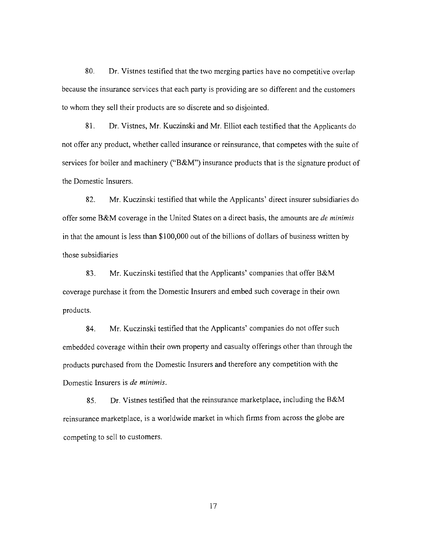80. Dr. Vistnes testified that the two merging parties have no competitive overlap because the insurance services that each party is providing are so different and the customers to whom they sell their products are so discrete and so disjointed.

81. Dr. Vistnes, Mr. Kuczinski and Mr. Elliot each testified that the Applicants do not offer any product, whether called insurance or reinsurance, that competes with the suite of services for boiler and machinery ("B&M") insurance products that is the signature product of the Domestic Insurers.

82. Mr. Kuczinski testified that while the Applicants' direct insurer subsidiaries do offer some B&M coverage in the United States on a direct basis, the amounts are *de minimis*  in that the amount is less than \$100,000 out of the billions of dollars of business written by those subsidiaries

83. Mr. Kuczinski testified that the Applicants' companies that offer B&M coverage purchase it from the Domestic Insurers and embed such coverage in their own products.

84. Mr. Kuczinski testified that the Applicants' companies do not offer such embedded coverage within their own property and casualty offerings other than through the products purchased from the Domestic Insurers and therefore any competition with the Domestic Insurers is *de minimis.* 

85. Dr. Vistnes testified that the reinsurance marketplace, including the B&M reinsurance marketplace, is a worldwide market in which firms from across the globe are competing to sell to customers.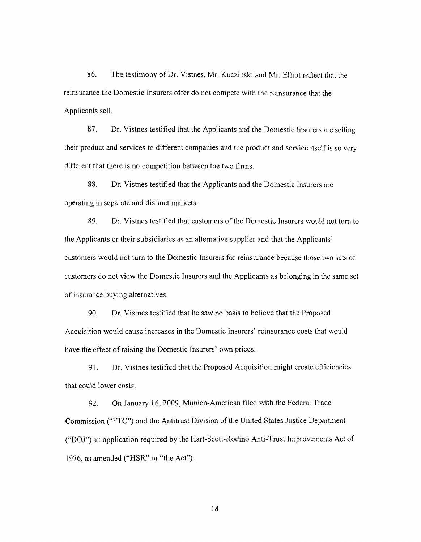86. The testimony of Dr. Vistnes, Mr. Kuczinski and Mr. Elliot reflect that the reinsurance the Domestic Insurers offer do not compete with the reinsurance that the Applicants sell.

87. Dr. Vistnes testified that the Applicants and the Domestic Insurers are selling their product and services to different companies and the product and service itself is so very different that there is no competition between the two firms.

88. Dr. Vistnes testified that the Applicants and the Domestic Insurers are operating in separate and distinct markets.

89. Dr. Vistnes testified that customers of the Domestic Insurers would not tum to the Applicants or their subsidiaries as an alternative supplier and that the Applicants' customers would not turn to the Domestic Insurers for reinsurance because those two sets of customers do not view the Domestic Insurers and the Applicants as belonging in the same set of insurance buying alternatives.

90. Dr. Vistnes testified that he saw no basis to believe that the Proposed Acquisition would cause increases in the Domestic Insurers' reinsurance costs that would have the effect of raising the Domestic Insurers' own prices.

91. Dr. Vistnes testified that the Proposed Acquisition might create efficiencies that could lower costs.

92. On January 16,2009, Munich-American filed with the Federal Trade Commission ("FTC") and the Antitrust Division of the United States Justice Department ("DO]") an application required by the Hart-Seott-Rodino Anti-Tnrst Improvements Aet of 1976, as amended ("HSR" or "the Act").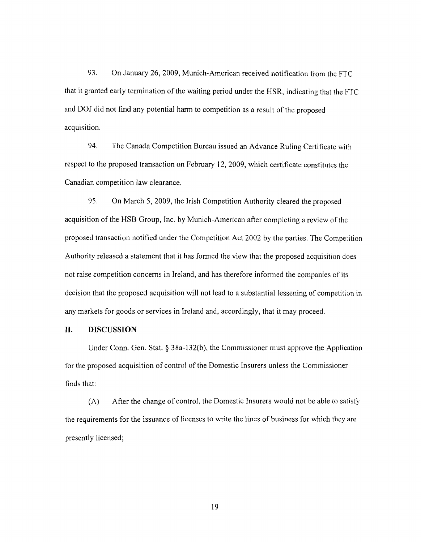93. On January 26, 2009, Munich-American received notification from the FTC that it granted early termination of the waiting period under the HSR, indicating that the FTC and DOJ did not find any potential harm to competition as a result of the proposed acquisition.

94. The Canada Competition Bureau issued an Advance Ruling Certificate with respect to the proposed transaction on February 12,2009, which certificate constitutes the Canadian competition law clearance.

95. On March 5, 2009, the Irish Competition Authority cleared the proposed acquisition of the HSB Group, Inc. by Munich-American after completing a review of the proposed transaction notified under the Competition Act 2002 by the parties. The Competition Authority released a statement that it has formed the view that the proposed acquisition does not raise competition concerns in Ireland, and has therefore informed the companies of its decision that the proposed acquisition will not lead to a substantial lessening of competition in any markets for goods or services in Ireland and, accordingly, that it may proceed.

#### **II. DISCUSSION**

Under Conn. Gen. Stat. § 38a~132(b), the Commissioner must approve the Application for the proposed acquisition of control of the Domestic Insurers unless the Commissioner finds that:

(A) After the change of control, the Domestic Insurers would not be able to satisfy the requirements for the issuance of licenses to write the lines of business for which they are presently licensed;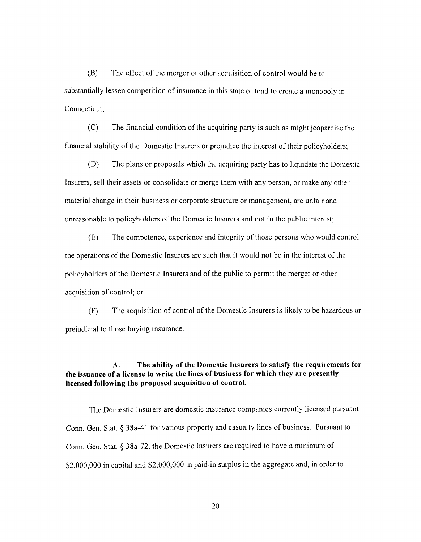(B) The effect of the merger or other acquisition of control would be to substantially lessen competition of insurance in this state or tend to create a monopoly in Connecticut;

(C) The financial condition of the acquiring party is such as might jeopardize the financial stability of the Domestic Insurers or prejudice the interest of their policyholders;

(D) The plans or proposals which the acquiring party has to liquidate the Domestic Insurers, sell their assets or consolidate or merge them with any person, or make any other material change in their business or corporate structure or management, are unfair and unreasonable to policyholders of the Domestic Insurers and not in the public interest;

(E) The competence, experience and integrity of those persons who would control the operations of the Domestic Insurers are such that it would not be in the interest of the policyholders of the Domestic Insurers and of the public to permit the merger or other acquisition of control; or

(F) The acquisition of control of the Domestic Insurers is likely to be hazardous or prejudicial to those buying insurance.

## A. The ability of the Domestic Insurers to satisfy the requirements for the issuance of a license to write the lines of business for which they are presently licensed following the proposed acquisition of control.

The Domestic Insurers are domestic insurance companies currently licensed pursuant Conn. Gen. Stat. § 38a-41 for various property and casualty lines of business. Pursuant to Conn. Gen. Stat. § 38a-72, the Domestic Insurers are required to have a minimum of \$2,000,000 in capital and \$2,000,000 in paid-in surplus in the aggregate and, in order to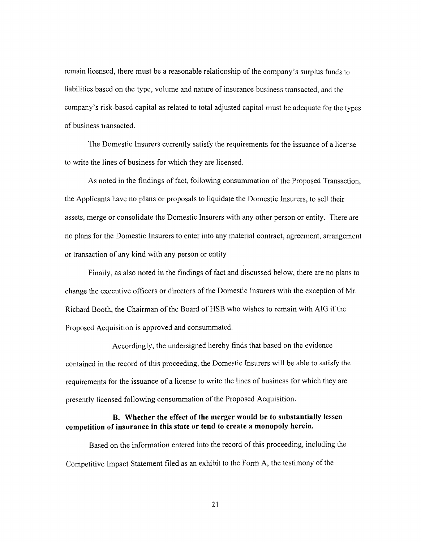remain licensed, there must be a reasonable relationship of the company's surplus funds to liabilities based on the type, volume and nature of insurance business transacted, and the company's risk-based capital as related to total adjusted capital must be adequate for the types of business transacted.

The Domestic Insurers currently satisfy the requirements for the issuance of a license to write the lines of business for which they are licensed.

As noted in the findings of fact, following consummation of the Proposed Transaction, the Applicants have no plans or proposals to liquidate the Domestic Insurers, to sell their assets, merge or consolidate the Domestic Insurers with any other person or entity. There are no plans for the Domestic Insurers to enter into any material contract, agreement, arrangement or transaction of any kind with any person or entity

Finally, as also noted in the findings of fact and discussed below, there are no plans to change the executive officers or directors of the Domestic Insurers with the exception of Mr. Richard Booth, the Chairman of the Board of HSB who wishes to remain with AIG if the Proposed Acquisition is approved and consummated.

Accordingly, the undersigned hereby finds that based on the evidence contained in the record of this proceeding, the Domestic Insurers will be able to satisfy the requirements for the issuance of a license to write the lines of business for which they are presently licensed following consummation of the Proposed Acquisition.

## **B. Whether the effect of the merger would be to substantially lessen competition of insurance in this state or tend to create a monopoly herein.**

Based on the information entered into the record of this proceeding, including the Competitive Impact Statement filed as an exhibit to the Form A, the testimony of the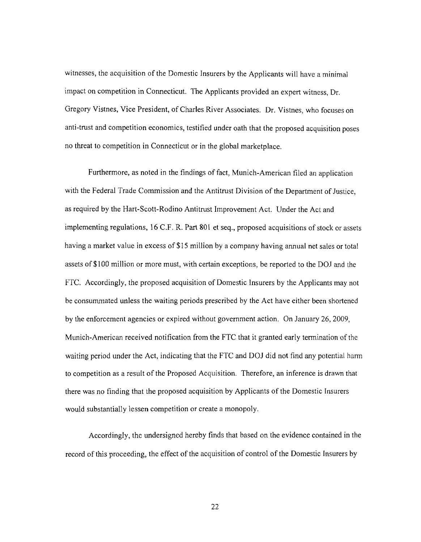witnesses, the acquisition of the Domestic Insurers by the Applicants will have a minimal impact on competition in Connecticut. The Applicants provided an expert witness, Dr. Gregory Vistnes, Vice President, of Charles River Associates. Dr. Vistnes, who focuses on anti-trust and competition economics, testified under oath that the proposed acquisition poses no threat to competition in Connecticut or in the global marketplace.

Furthermore, as noted in the findings of fact, Munich-American filed an application with the Federal Trade Commission and the Antitrust Division of the Department of Justice, as required by the Hart-Scott-Rodino Antitrust Improvement Act. Under the Act and implementing regulations, 16 C.F. R. Part 801 et seq., proposed acquisitions of stock or assets having a market value in excess of \$15 million by a company having annual net sales or total assets of \$1 00 million or more must, with certain exceptions, be reported to the DOJ and the FTC. Accordingly, the proposed acquisition of Domestic Insurers by the Applicants may not be consummated unless the waiting periods prescribed by the Act have either been shortened by the enforcement agencies or expired without government action. On January 26, 2009, Munich-American received notification from the FTC that it granted early termination of the waiting period under the Act, indicating that the FTC and DOJ did not find any potential harm to competition as a result of the Proposed Acquisition. Therefore, an inference is drawn that there was no finding that the proposed acquisition by Applicants of the Domestic Insurers would substantially lessen competition or create a monopoly.

Accordingly, the undersigned hereby finds that based on the evidence contained in the record of this proceeding, the effect of the acquisition of control of the Domestic Insurers by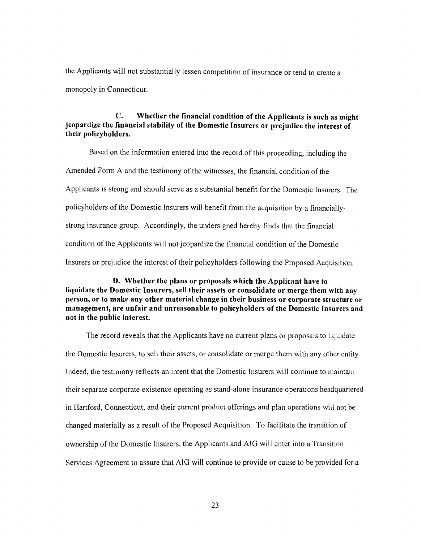the Applicants will not substantially lessen competition of insurance or tend to create a monopoly in Connecticut.

## C. Whether the financial condition of the Applicants is such as might jeopardize the financial stability of the Domestic Insurers or prejudice the interest of their policyholders.

Based on the information entered into the record of this proceeding, including the Amended Form A and the testimony of the witnesses, the financial condition of the Applicants is strong and should serve as a substantial benefit for the Domestic Insurers. The policyholders of the Domestic Insurers will benefit from the acquisition by a financiallystrong insurance group. Accordingly, the undersigned hereby finds that the financial condition of the Applicants will not jeopardize the financial condition of the Domestic Insurers or prejudice the interest of their policyholders following the Proposed Acquisition.

D. Whether the plans or proposals which the Applicant have to liquidate the Domestic Insurers, sell their assets or consolidate or merge them with any person, or to make any other material change in their business or corporate structure or management, are unfair and unreasonable to policyholders of the Domestic Insurers and not in the public interest.

The record reveals that the Applicants have no current plans or proposals to liquidate the Domestic Insurers, to sell their assets, or consolidate or merge them with any other entity. Indeed, the testimony reflects an intent that the Domestic Insurers will continue to maintain their separate corporate existence operating as stand-alone insurance operations headquartered in Hartford, Connecticut, and their current product offerings and plan operations will not be changed materially as a result of the Proposed Acquisition. To facilitate the transition of ownership of the Domestic Insurers, the Applicants and AIG will enter into a Transition Services Agreement to assure that AIG will continue to provide or cause to be provided for a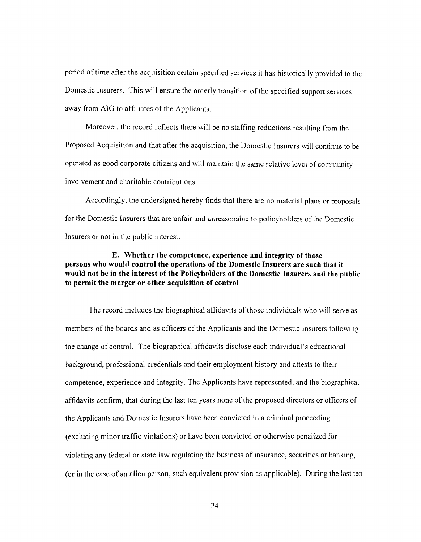period of time after the acquisition certain specified services it has historically provided to the Domestic Insurers. This will ensure the orderly transition of the specified support services away from AIG to affiliates of the Applicants.

Moreover, the record reflects there will be no staffing reductions resulting from the Proposed Acquisition and that after the acquisition, the Domestic Insurers will continue to be operated as good corporate citizens and will maintain the same relative level of community involvement and charitable contributions.

Accordingly, the undersigned hereby finds that there are no material plans or proposals for the Domestic Insurers that are unfair and unreasonable to policyholders of the Domestic Insurers or not in the public interest

## E. Whether the competence, experience and integrity of those persons who would control the operations of the Domestic Insurers are such that it would not be in the interest of the Policyholders of the Domestic Insurers and the public to permit the merger or other acquisition of control

The record includes the biographical affidavits of those individuals who will serve as members of the boards and as officers of the Applicants and the Domestic Insurers following the change of control. The biographical affidavits disclose each individual's educational background, professional credentials and their employment history and attests to their competence, experience and integrity. The Applicants have represented, and the biographical affidavits confirm, that during the last ten years none of the proposed directors or officers of the Applicants and Domestic Insurers have been convicted in a criminal proceeding (excluding minor traffic violations) or have been convicted or otherwise penalized for violating any federal or state law regulating the business of insurance, securities or banking, (or in the case of an alien person, such equivalent provision as applicable). During the last ten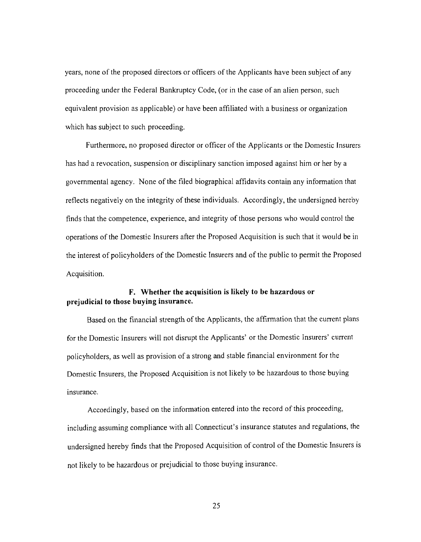years, none of the proposed directors or officers of the Applicants have been subject of any proceeding under the Federal Bankruptcy Code, (or in the case of an alien person, such equivalent provision as applicable) or have been affiliated with a business or organization which has subject to such proceeding.

Furthermore, no proposed director or officer of the Applicants or the Domestic Insurers has had a revocation, suspension or disciplinary sanction imposed against him or her by a governmental agency. None of the filed biographical affidavits contain any infonnation that reflects negatively on the integrity of these individuals. Accordingly, the undersigned hereby finds that the competence, experience, and integrity of those persons who would control the operations of the Domestic Insurers after the Proposed Acquisition is such that it would be in the interest of policyholders of the Domestic Insurers and of the public to pennit the Proposed Acquisition.

## **F. Whether the acquisition is likely to be hazardous or prejudicial to those buying insurance.**

Based on the financial strength of the Applicants, the affirmation that the current plans for the Domestic Insurers will not disrupt the Applicants' or the Domestic Insurers' current policyholders, as well as provision of a strong and stable financial environment for the Domestic Insurers, the Proposed Acquisition is not likely to be hazardous to those buying insurance.

Accordingly, based on the information entered into the record of this proceeding, including assuming compliance with all Connecticut's insurance statutes and regulations, the undersigned hereby finds that the Proposed Acquisition of control of the Domestic Insurers is not likely to be hazardous or prejudicial to those buying insurance.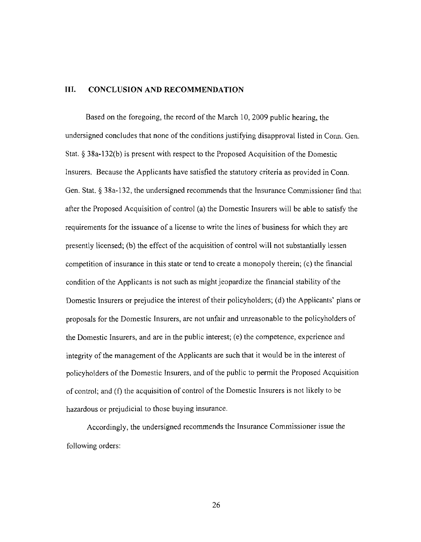## **III. CONCLUSION AND RECOMMENDATION**

Based on the foregoing, the record of the March 10, 2009 public hearing, the undersigned concludes that none of the conditions justifying disapproval listed in Conn. Gen. Stat. § 38a-132(b) is present with respect to the Proposed Acquisition of the Domestic Insurers. Because the Applicants have satisfied the statutory criteria as provided in Conn. Gen. Stat. § 38a-132, the undersigned recommends that the Insurance Commissioner find that after the Proposed Acquisition of control (a) the Domestic Insurers will be able to satisfy the requirements for the issuance of a license to write the lines of business for which they are presently licensed; (b) the effect of the acquisition of control will not substantially lessen competition of insurance in this state or tend to create a monopoly therein; (c) the financial condition of the Applicants is not such as might jeopardize the financial stability of the Domestic Insurers or prejudice the interest of their policyholders; (d) the Applicants' plans or proposals for the Domestic Insurers, are not unfair and unreasonable to the policyholders of the Domestic Insurers, and are in the public interest; (e) the competence, experience and integrity of the management of the Applicants are such that it would be in the interest of policyholders of the Domestic Insurers, and of the public to permit the Proposed Acquisition of control; and (f) the acquisition of control ofthe Domestic Insurers is not likely to be hazardous or prejudicial to those buying insurance.

Accordingly, the undersigned recommends the Insurance Commissioner issue the following orders: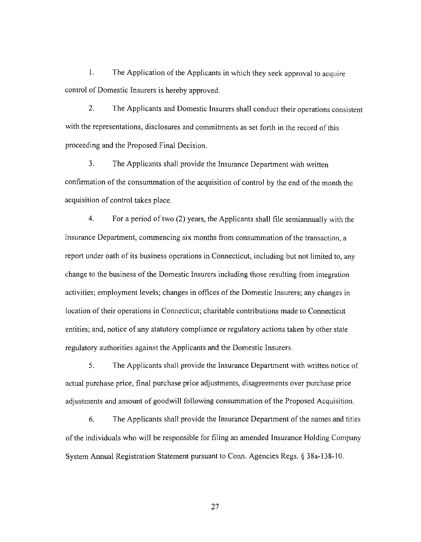1. The Application of the Applicants in which they seek approval to acquire control of Domestic Insurers is hereby approved.

2. The Applicants and Domestic Insurers shall conduct their operations consistent with the representations, disclosures and commitments as set forth in the record of this proceeding and the Proposed Final Decision.

3. The Applicants shall provide the Insurance Department with written confirmation of the consummation of the acquisition of control by the end of the month the acquisition of control takes place.

4. For a period of two (2) years, the Applicants shall file semiannually with the Insurance Department, commencing six months from consummation of the transaction, a report under oath of its business operations in Connecticut, including but not limited to, any change to the business of the Domestic Insurers including those resulting from integration activities; employment levels; changes in offices of the Domestic Insurers; any changes in location of their operations in Connecticut; charitable contributions made to Connecticut entities; and, notice of any statutory compliance or regulatory actions taken by other state regulatory authorities against the Applicants and the Domestic Insurers.

5. The Applicants shall provide the Insurance Department with written notice of actual purchase price, final purchase price adjustments, disagreements over purchase price adjustments and amount of goodwill following consummation of the Proposed Acquisition.

6. The Applicants shall provide the Insurance Department of the names and titles of the individuals who will be responsible for filing an amended Insurance Holding Company System Annual Registration Statement pursuant to Conn. Agencies Regs. § 38a-138-1 O.